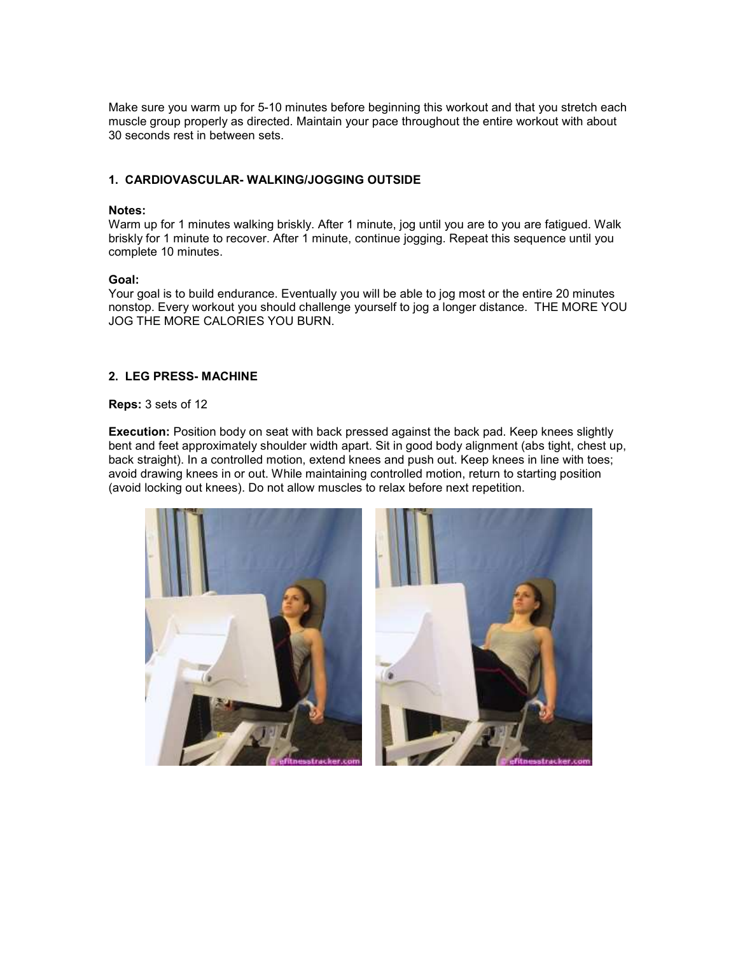Make sure you warm up for 5-10 minutes before beginning this workout and that you stretch each muscle group properly as directed. Maintain your pace throughout the entire workout with about 30 seconds rest in between sets.

## **1. CARDIOVASCULAR- WALKING/JOGGING OUTSIDE**

#### **Notes:**

Warm up for 1 minutes walking briskly. After 1 minute, jog until you are to you are fatigued. Walk briskly for 1 minute to recover. After 1 minute, continue jogging. Repeat this sequence until you complete 10 minutes.

### **Goal:**

Your goal is to build endurance. Eventually you will be able to jog most or the entire 20 minutes nonstop. Every workout you should challenge yourself to jog a longer distance. THE MORE YOU JOG THE MORE CALORIES YOU BURN.

### **2. LEG PRESS- MACHINE**

#### **Reps:** 3 sets of 12

**Execution:** Position body on seat with back pressed against the back pad. Keep knees slightly bent and feet approximately shoulder width apart. Sit in good body alignment (abs tight, chest up, back straight). In a controlled motion, extend knees and push out. Keep knees in line with toes; avoid drawing knees in or out. While maintaining controlled motion, return to starting position (avoid locking out knees). Do not allow muscles to relax before next repetition.

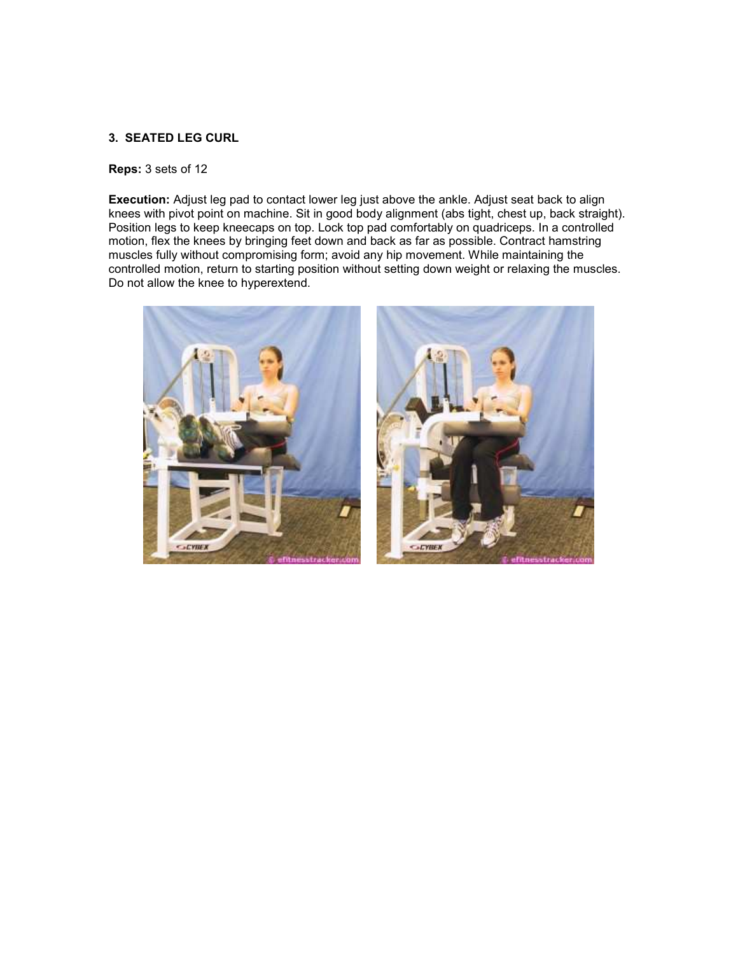## **3. SEATED LEG CURL**

### **Reps:** 3 sets of 12

**Execution:** Adjust leg pad to contact lower leg just above the ankle. Adjust seat back to align knees with pivot point on machine. Sit in good body alignment (abs tight, chest up, back straight). Position legs to keep kneecaps on top. Lock top pad comfortably on quadriceps. In a controlled motion, flex the knees by bringing feet down and back as far as possible. Contract hamstring muscles fully without compromising form; avoid any hip movement. While maintaining the controlled motion, return to starting position without setting down weight or relaxing the muscles. Do not allow the knee to hyperextend.